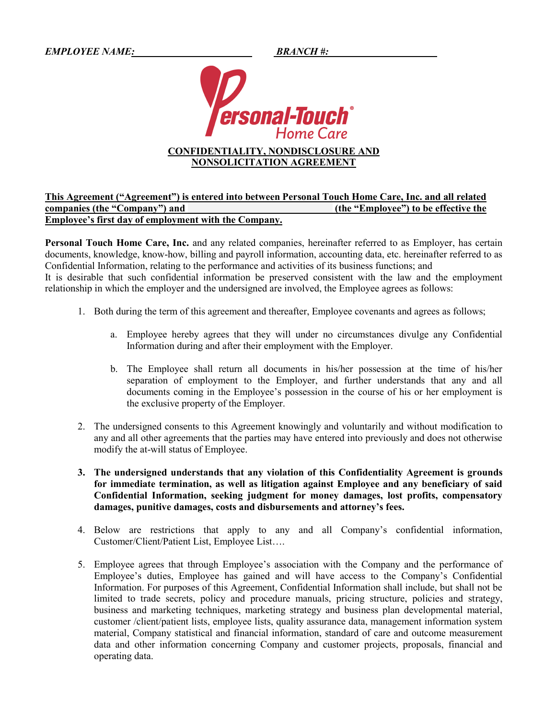*EMPLOYEE NAME:\_ \_\_\_\_\_\_\_\_\_\_ BRANCH #:* 



## **CONFIDENTIALITY, NONDISCLOSURE AND NONSOLICITATION AGREEMENT**

## **This Agreement ("Agreement") is entered into between Personal Touch Home Care, Inc. and all related companies (the "Company") and \_\_\_\_\_\_\_\_\_\_\_\_\_\_\_\_\_\_\_\_\_\_\_\_\_\_\_\_\_ (the "Employee") to be effective the Employee's first day of employment with the Company.**

**Personal Touch Home Care, Inc.** and any related companies, hereinafter referred to as Employer, has certain documents, knowledge, know-how, billing and payroll information, accounting data, etc. hereinafter referred to as Confidential Information, relating to the performance and activities of its business functions; and It is desirable that such confidential information be preserved consistent with the law and the employment relationship in which the employer and the undersigned are involved, the Employee agrees as follows:

- 1. Both during the term of this agreement and thereafter, Employee covenants and agrees as follows;
	- a. Employee hereby agrees that they will under no circumstances divulge any Confidential Information during and after their employment with the Employer.
	- b. The Employee shall return all documents in his/her possession at the time of his/her separation of employment to the Employer, and further understands that any and all documents coming in the Employee's possession in the course of his or her employment is the exclusive property of the Employer.
- 2. The undersigned consents to this Agreement knowingly and voluntarily and without modification to any and all other agreements that the parties may have entered into previously and does not otherwise modify the at-will status of Employee.
- **3. The undersigned understands that any violation of this Confidentiality Agreement is grounds for immediate termination, as well as litigation against Employee and any beneficiary of said Confidential Information, seeking judgment for money damages, lost profits, compensatory damages, punitive damages, costs and disbursements and attorney's fees.**
- 4. Below are restrictions that apply to any and all Company's confidential information, Customer/Client/Patient List, Employee List….
- 5. Employee agrees that through Employee's association with the Company and the performance of Employee's duties, Employee has gained and will have access to the Company's Confidential Information. For purposes of this Agreement, Confidential Information shall include, but shall not be limited to trade secrets, policy and procedure manuals, pricing structure, policies and strategy, business and marketing techniques, marketing strategy and business plan developmental material, customer /client/patient lists, employee lists, quality assurance data, management information system material, Company statistical and financial information, standard of care and outcome measurement data and other information concerning Company and customer projects, proposals, financial and operating data.